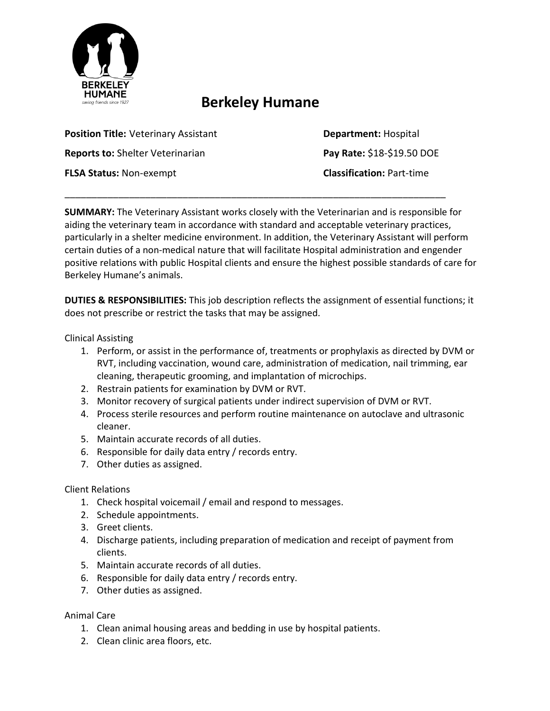

# **Berkeley Humane**

\_\_\_\_\_\_\_\_\_\_\_\_\_\_\_\_\_\_\_\_\_\_\_\_\_\_\_\_\_\_\_\_\_\_\_\_\_\_\_\_\_\_\_\_\_\_\_\_\_\_\_\_\_\_\_\_\_\_\_\_\_\_\_\_\_\_\_\_\_\_\_

**Position Title: Veterinary Assistant <b>Department:** Hospital **Reports to:** Shelter Veterinarian **Pay Rate:** \$18-\$19.50 DOE **FLSA Status:** Non-exempt **Classification:** Part-time

**SUMMARY:** The Veterinary Assistant works closely with the Veterinarian and is responsible for aiding the veterinary team in accordance with standard and acceptable veterinary practices, particularly in a shelter medicine environment. In addition, the Veterinary Assistant will perform certain duties of a non-medical nature that will facilitate Hospital administration and engender positive relations with public Hospital clients and ensure the highest possible standards of care for Berkeley Humane's animals.

**DUTIES & RESPONSIBILITIES:** This job description reflects the assignment of essential functions; it does not prescribe or restrict the tasks that may be assigned.

Clinical Assisting

- 1. Perform, or assist in the performance of, treatments or prophylaxis as directed by DVM or RVT, including vaccination, wound care, administration of medication, nail trimming, ear cleaning, therapeutic grooming, and implantation of microchips.
- 2. Restrain patients for examination by DVM or RVT.
- 3. Monitor recovery of surgical patients under indirect supervision of DVM or RVT.
- 4. Process sterile resources and perform routine maintenance on autoclave and ultrasonic cleaner.
- 5. Maintain accurate records of all duties.
- 6. Responsible for daily data entry / records entry.
- 7. Other duties as assigned.

## Client Relations

- 1. Check hospital voicemail / email and respond to messages.
- 2. Schedule appointments.
- 3. Greet clients.
- 4. Discharge patients, including preparation of medication and receipt of payment from clients.
- 5. Maintain accurate records of all duties.
- 6. Responsible for daily data entry / records entry.
- 7. Other duties as assigned.

## Animal Care

- 1. Clean animal housing areas and bedding in use by hospital patients.
- 2. Clean clinic area floors, etc.